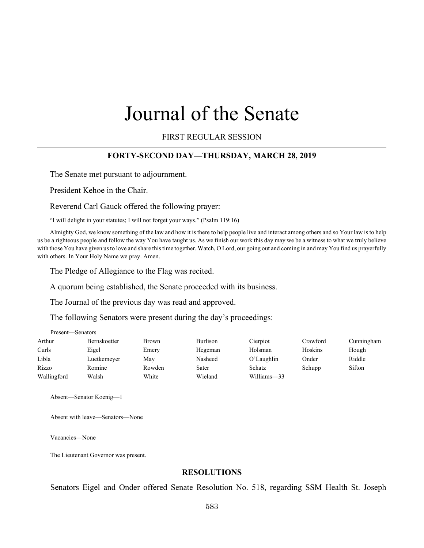# Journal of the Senate

FIRST REGULAR SESSION

#### **FORTY-SECOND DAY—THURSDAY, MARCH 28, 2019**

The Senate met pursuant to adjournment.

President Kehoe in the Chair.

Reverend Carl Gauck offered the following prayer:

"I will delight in your statutes; I will not forget your ways." (Psalm 119:16)

Almighty God, we know something of the law and how it is there to help people live and interact among others and so Your law is to help us be a righteous people and follow the way You have taught us. As we finish our work this day may we be a witness to what we truly believe with those You have given us to love and share this time together. Watch, O Lord, our going out and coming in and may You find us prayerfully with others. In Your Holy Name we pray. Amen.

The Pledge of Allegiance to the Flag was recited.

A quorum being established, the Senate proceeded with its business.

The Journal of the previous day was read and approved.

The following Senators were present during the day's proceedings:

| 1 1 və vili | uuuun        |        |          |               |          |            |
|-------------|--------------|--------|----------|---------------|----------|------------|
| Arthur      | Bernskoetter | Brown  | Burlison | Cierpiot      | Crawford | Cunningham |
| Curls       | Eigel        | Emery  | Hegeman  | Holsman       | Hoskins  | Hough      |
| Libla       | Luetkemeyer  | May    | Nasheed  | O'Laughlin    | Onder    | Riddle     |
| Rizzo       | Romine       | Rowden | Sater    | <b>Schatz</b> | Schupp   | Sifton     |
| Wallingford | Walsh        | White  | Wieland  | Williams-33   |          |            |

Absent—Senator Koenig—1

Absent with leave—Senators—None

Vacancies—None

Present—Senators

The Lieutenant Governor was present.

## **RESOLUTIONS**

Senators Eigel and Onder offered Senate Resolution No. 518, regarding SSM Health St. Joseph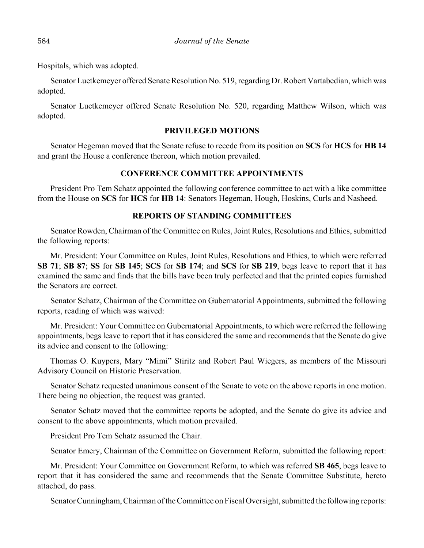Hospitals, which was adopted.

Senator Luetkemeyer offered Senate Resolution No. 519, regarding Dr. Robert Vartabedian, which was adopted.

Senator Luetkemeyer offered Senate Resolution No. 520, regarding Matthew Wilson, which was adopted.

#### **PRIVILEGED MOTIONS**

Senator Hegeman moved that the Senate refuse to recede from its position on **SCS** for **HCS** for **HB 14** and grant the House a conference thereon, which motion prevailed.

## **CONFERENCE COMMITTEE APPOINTMENTS**

President Pro Tem Schatz appointed the following conference committee to act with a like committee from the House on **SCS** for **HCS** for **HB 14**: Senators Hegeman, Hough, Hoskins, Curls and Nasheed.

#### **REPORTS OF STANDING COMMITTEES**

Senator Rowden, Chairman of the Committee on Rules, Joint Rules, Resolutions and Ethics, submitted the following reports:

Mr. President: Your Committee on Rules, Joint Rules, Resolutions and Ethics, to which were referred **SB 71**; **SB 87**; **SS** for **SB 145**; **SCS** for **SB 174**; and **SCS** for **SB 219**, begs leave to report that it has examined the same and finds that the bills have been truly perfected and that the printed copies furnished the Senators are correct.

Senator Schatz, Chairman of the Committee on Gubernatorial Appointments, submitted the following reports, reading of which was waived:

Mr. President: Your Committee on Gubernatorial Appointments, to which were referred the following appointments, begs leave to report that it has considered the same and recommends that the Senate do give its advice and consent to the following:

Thomas O. Kuypers, Mary "Mimi" Stiritz and Robert Paul Wiegers, as members of the Missouri Advisory Council on Historic Preservation.

Senator Schatz requested unanimous consent of the Senate to vote on the above reports in one motion. There being no objection, the request was granted.

Senator Schatz moved that the committee reports be adopted, and the Senate do give its advice and consent to the above appointments, which motion prevailed.

President Pro Tem Schatz assumed the Chair.

Senator Emery, Chairman of the Committee on Government Reform, submitted the following report:

Mr. President: Your Committee on Government Reform, to which was referred **SB 465**, begs leave to report that it has considered the same and recommends that the Senate Committee Substitute, hereto attached, do pass.

Senator Cunningham, Chairman of the Committee on Fiscal Oversight, submitted the following reports: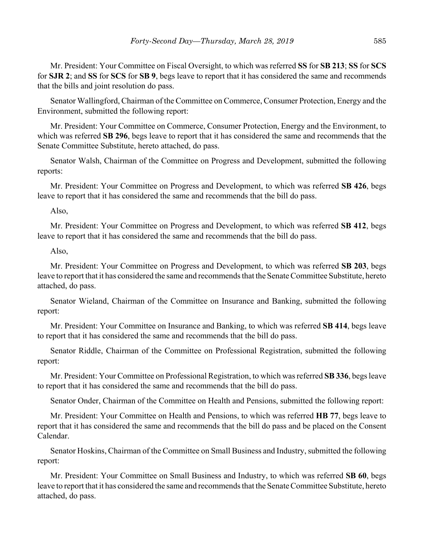Mr. President: Your Committee on Fiscal Oversight, to which was referred **SS** for **SB 213**; **SS** for **SCS** for **SJR 2**; and **SS** for **SCS** for **SB 9**, begs leave to report that it has considered the same and recommends that the bills and joint resolution do pass.

Senator Wallingford, Chairman of the Committee on Commerce, Consumer Protection, Energy and the Environment, submitted the following report:

Mr. President: Your Committee on Commerce, Consumer Protection, Energy and the Environment, to which was referred **SB 296**, begs leave to report that it has considered the same and recommends that the Senate Committee Substitute, hereto attached, do pass.

Senator Walsh, Chairman of the Committee on Progress and Development, submitted the following reports:

Mr. President: Your Committee on Progress and Development, to which was referred **SB 426**, begs leave to report that it has considered the same and recommends that the bill do pass.

Also,

Mr. President: Your Committee on Progress and Development, to which was referred **SB 412**, begs leave to report that it has considered the same and recommends that the bill do pass.

Also,

Mr. President: Your Committee on Progress and Development, to which was referred **SB 203**, begs leave to report that it has considered the same and recommends that the Senate Committee Substitute, hereto attached, do pass.

Senator Wieland, Chairman of the Committee on Insurance and Banking, submitted the following report:

Mr. President: Your Committee on Insurance and Banking, to which was referred **SB 414**, begs leave to report that it has considered the same and recommends that the bill do pass.

Senator Riddle, Chairman of the Committee on Professional Registration, submitted the following report:

Mr. President: Your Committee on Professional Registration, to which was referred **SB 336**, begs leave to report that it has considered the same and recommends that the bill do pass.

Senator Onder, Chairman of the Committee on Health and Pensions, submitted the following report:

Mr. President: Your Committee on Health and Pensions, to which was referred **HB 77**, begs leave to report that it has considered the same and recommends that the bill do pass and be placed on the Consent Calendar.

Senator Hoskins, Chairman of the Committee on Small Business and Industry, submitted the following report:

Mr. President: Your Committee on Small Business and Industry, to which was referred **SB 60**, begs leave to report that it has considered the same and recommends that the Senate Committee Substitute, hereto attached, do pass.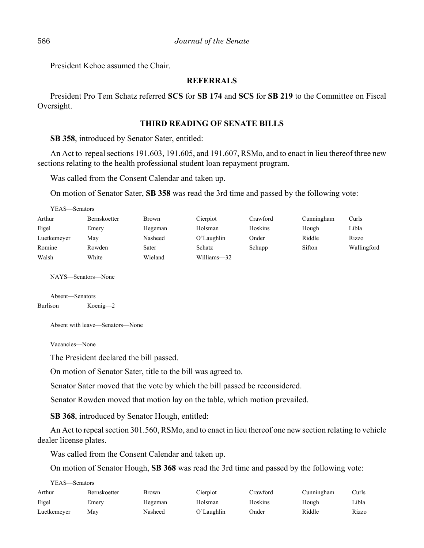President Kehoe assumed the Chair.

#### **REFERRALS**

President Pro Tem Schatz referred **SCS** for **SB 174** and **SCS** for **SB 219** to the Committee on Fiscal Oversight.

## **THIRD READING OF SENATE BILLS**

**SB 358**, introduced by Senator Sater, entitled:

An Act to repeal sections 191.603, 191.605, and 191.607, RSMo, and to enact in lieu thereof three new sections relating to the health professional student loan repayment program.

Was called from the Consent Calendar and taken up.

On motion of Senator Sater, **SB 358** was read the 3rd time and passed by the following vote:

| YEAS—Senators |                     |         |             |          |            |             |
|---------------|---------------------|---------|-------------|----------|------------|-------------|
| Arthur        | <b>Bernskoetter</b> | Brown   | Cierpiot    | Crawford | Cunningham | Curls       |
| Eigel         | Emery               | Hegeman | Holsman     | Hoskins  | Hough      | Libla       |
| Luetkemeyer   | May                 | Nasheed | O'Laughlin  | Onder    | Riddle     | Rizzo       |
| Romine        | Rowden              | Sater   | Schatz      | Schupp   | Sifton     | Wallingford |
| Walsh         | White               | Wieland | Williams-32 |          |            |             |

NAYS—Senators—None

```
Absent—Senators
Burlison Koenig—2
```
Absent with leave—Senators—None

Vacancies—None

The President declared the bill passed.

On motion of Senator Sater, title to the bill was agreed to.

Senator Sater moved that the vote by which the bill passed be reconsidered.

Senator Rowden moved that motion lay on the table, which motion prevailed.

**SB 368**, introduced by Senator Hough, entitled:

An Act to repeal section 301.560, RSMo, and to enact in lieu thereof one new section relating to vehicle dealer license plates.

Was called from the Consent Calendar and taken up.

On motion of Senator Hough, **SB 368** was read the 3rd time and passed by the following vote:

YEAS—Senators

| Arthur      | <b>Bernskoetter</b> | Brown   | Cierpiot   | Crawford | Cunningham | Curls |
|-------------|---------------------|---------|------------|----------|------------|-------|
| Eigel       | Emerv               | Hegeman | Holsman    | Hoskins  | Hough      | Libla |
| Luetkemeyer | Mav                 | Nasheed | O'Laughlin | Onder    | Riddle     | Rizzo |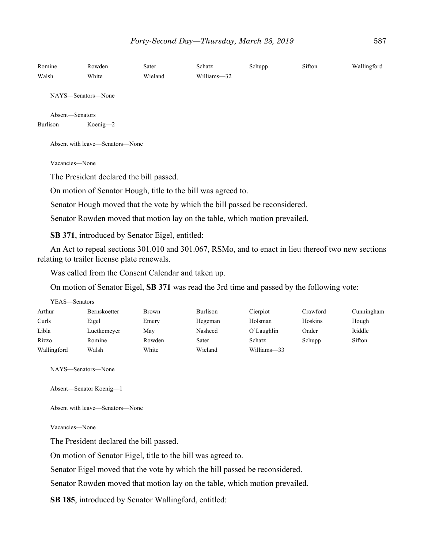| Romine<br>Walsh    | Rowden<br>White                                                                                    | Sater<br>Wieland | Schatz<br>Williams-32 | Schupp | Sifton | Wallingford |
|--------------------|----------------------------------------------------------------------------------------------------|------------------|-----------------------|--------|--------|-------------|
| NAYS-Senators-None |                                                                                                    |                  |                       |        |        |             |
| Absent-Senators    |                                                                                                    |                  |                       |        |        |             |
| Burlison           | Koenig- $2$                                                                                        |                  |                       |        |        |             |
|                    | Absent with leave—Senators—None                                                                    |                  |                       |        |        |             |
| Vacancies-None     |                                                                                                    |                  |                       |        |        |             |
|                    | The President declared the bill passed.                                                            |                  |                       |        |        |             |
|                    | On motion of Senator Hough, title to the bill was agreed to.                                       |                  |                       |        |        |             |
|                    | Senator Hough moved that the vote by which the bill passed be reconsidered.                        |                  |                       |        |        |             |
|                    | Senator Rowden moved that motion lay on the table, which motion prevailed.                         |                  |                       |        |        |             |
|                    | <b>SB 371, introduced by Senator Eigel, entitled:</b>                                              |                  |                       |        |        |             |
|                    | An Act to repeal sections 301.010 and 301.067, RSMo, and to enact in lieu thereof two new sections |                  |                       |        |        |             |

relating to trailer license plate renewals.

Was called from the Consent Calendar and taken up.

On motion of Senator Eigel, **SB 371** was read the 3rd time and passed by the following vote:

| YEAS—Senators |                     |              |          |               |          |            |
|---------------|---------------------|--------------|----------|---------------|----------|------------|
| Arthur        | <b>Bernskoetter</b> | <b>Brown</b> | Burlison | Cierpiot      | Crawford | Cunningham |
| Curls         | Eigel               | Emery        | Hegeman  | Holsman       | Hoskins  | Hough      |
| Libla         | Luetkemeyer         | May          | Nasheed  | O'Laughlin    | Onder    | Riddle     |
| Rizzo         | Romine              | Rowden       | Sater    | <b>Schatz</b> | Schupp   | Sifton     |
| Wallingford   | Walsh               | White        | Wieland  | Williams-33   |          |            |

NAYS—Senators—None

Absent—Senator Koenig—1

Absent with leave—Senators—None

Vacancies—None

The President declared the bill passed.

On motion of Senator Eigel, title to the bill was agreed to.

Senator Eigel moved that the vote by which the bill passed be reconsidered.

Senator Rowden moved that motion lay on the table, which motion prevailed.

**SB 185**, introduced by Senator Wallingford, entitled: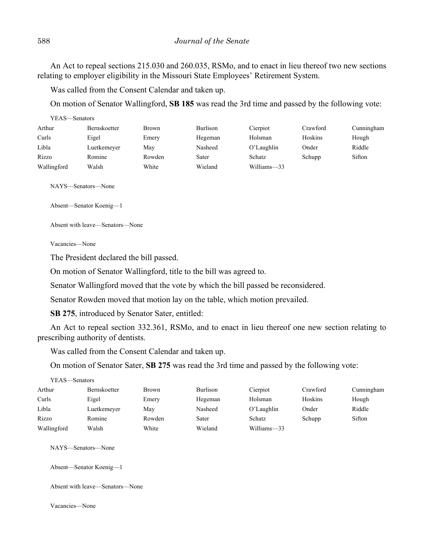An Act to repeal sections 215.030 and 260.035, RSMo, and to enact in lieu thereof two new sections relating to employer eligibility in the Missouri State Employees' Retirement System.

Was called from the Consent Calendar and taken up.

On motion of Senator Wallingford, **SB 185** was read the 3rd time and passed by the following vote:

| YEAS—Senators |                     |              |                 |             |                |            |
|---------------|---------------------|--------------|-----------------|-------------|----------------|------------|
| Arthur        | <b>Bernskoetter</b> | <b>Brown</b> | <b>Burlison</b> | Cierpiot    | Crawford       | Cunningham |
| Curls         | Eigel               | Emery        | Hegeman         | Holsman     | <b>Hoskins</b> | Hough      |
| Libla         | Luetkemeyer         | May          | Nasheed         | O'Laughlin  | Onder          | Riddle     |
| Rizzo         | Romine              | Rowden       | Sater           | Schatz      | Schupp         | Sifton     |
| Wallingford   | Walsh               | White        | Wieland         | Williams-33 |                |            |

NAYS—Senators—None

Absent—Senator Koenig—1

Absent with leave—Senators—None

Vacancies—None

The President declared the bill passed.

On motion of Senator Wallingford, title to the bill was agreed to.

Senator Wallingford moved that the vote by which the bill passed be reconsidered.

Senator Rowden moved that motion lay on the table, which motion prevailed.

**SB 275**, introduced by Senator Sater, entitled:

An Act to repeal section 332.361, RSMo, and to enact in lieu thereof one new section relating to prescribing authority of dentists.

Was called from the Consent Calendar and taken up.

On motion of Senator Sater, **SB 275** was read the 3rd time and passed by the following vote:

| YEAS—Senators |              |       |          |               |          |            |
|---------------|--------------|-------|----------|---------------|----------|------------|
| Arthur        | Bernskoetter | Brown | Burlison | Cierpiot      | Crawford | Cunningham |
| Curls         | Eigel        | Emery | Hegeman  | Holsman       | Hoskins  | Hough      |
| Libla         | Luetkemeyer  | Mav   | Nasheed  | $O'$ Laughlin | Onder    | Riddle     |

| Arthur      | Bernskoetter | Brown  | <b>Burlison</b> | Cierpiot      | Crawford | Cunni  |
|-------------|--------------|--------|-----------------|---------------|----------|--------|
| Curls       | Eigel        | Emery  | Hegeman         | Holsman       | Hoskins  | Hougl  |
| Libla       | Luetkemeyer  | Mav    | Nasheed         | $O'$ Laughlin | Onder    | Riddle |
| Rizzo       | Romine       | Rowden | Sater           | Schatz        | Schupp   | Sifton |
| Wallingford | Walsh        | White  | Wieland         | Williams-33   |          |        |

NAYS—Senators—None

Absent—Senator Koenig—1

Absent with leave—Senators—None

Vacancies—None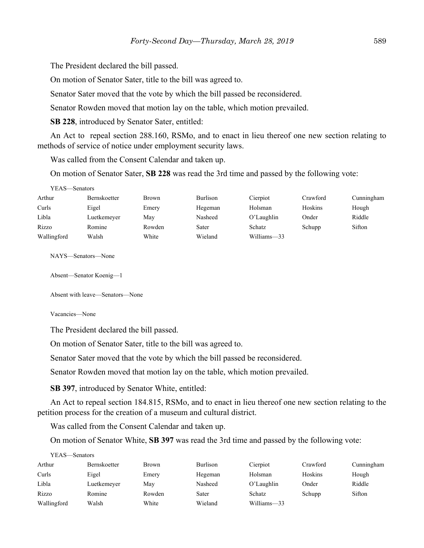The President declared the bill passed.

On motion of Senator Sater, title to the bill was agreed to.

Senator Sater moved that the vote by which the bill passed be reconsidered.

Senator Rowden moved that motion lay on the table, which motion prevailed.

**SB 228**, introduced by Senator Sater, entitled:

An Act to repeal section 288.160, RSMo, and to enact in lieu thereof one new section relating to methods of service of notice under employment security laws.

Was called from the Consent Calendar and taken up.

On motion of Senator Sater, **SB 228** was read the 3rd time and passed by the following vote:

| YEAS—Senators |                     |              |                 |             |          |            |
|---------------|---------------------|--------------|-----------------|-------------|----------|------------|
| Arthur        | <b>Bernskoetter</b> | <b>Brown</b> | <b>Burlison</b> | Cierpiot    | Crawford | Cunningham |
| Curls         | Eigel               | Emery        | Hegeman         | Holsman     | Hoskins  | Hough      |
| Libla         | Luetkemeyer         | May          | Nasheed         | O'Laughlin  | Onder    | Riddle     |
| Rizzo         | Romine              | Rowden       | Sater           | Schatz      | Schupp   | Sifton     |
| Wallingford   | Walsh               | White        | Wieland         | Williams-33 |          |            |

NAYS—Senators—None

Absent—Senator Koenig—1

Absent with leave—Senators—None

Vacancies—None

The President declared the bill passed.

On motion of Senator Sater, title to the bill was agreed to.

Senator Sater moved that the vote by which the bill passed be reconsidered.

Senator Rowden moved that motion lay on the table, which motion prevailed.

**SB 397**, introduced by Senator White, entitled:

An Act to repeal section 184.815, RSMo, and to enact in lieu thereof one new section relating to the petition process for the creation of a museum and cultural district.

Was called from the Consent Calendar and taken up.

On motion of Senator White, **SB 397** was read the 3rd time and passed by the following vote:

| YEAS—Senators |                     |              |                 |             |          |            |
|---------------|---------------------|--------------|-----------------|-------------|----------|------------|
| Arthur        | <b>Bernskoetter</b> | <b>Brown</b> | <b>Burlison</b> | Cierpiot    | Crawford | Cunningham |
| Curls         | Eigel               | Emery        | Hegeman         | Holsman     | Hoskins  | Hough      |
| Libla         | Luetkemeyer         | May          | Nasheed         | O'Laughlin  | Onder    | Riddle     |
| Rizzo         | Romine              | Rowden       | Sater           | Schatz      | Schupp   | Sifton     |
| Wallingford   | Walsh               | White        | Wieland         | Williams-33 |          |            |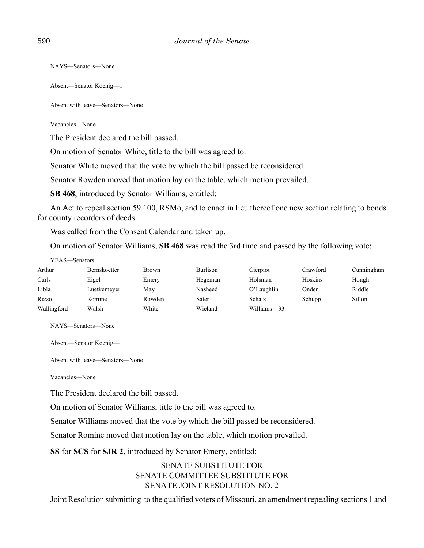NAYS—Senators—None

Absent—Senator Koenig—1

Absent with leave—Senators—None

Vacancies—None

The President declared the bill passed.

On motion of Senator White, title to the bill was agreed to.

Senator White moved that the vote by which the bill passed be reconsidered.

Senator Rowden moved that motion lay on the table, which motion prevailed.

**SB 468**, introduced by Senator Williams, entitled:

An Act to repeal section 59.100, RSMo, and to enact in lieu thereof one new section relating to bonds for county recorders of deeds.

Was called from the Consent Calendar and taken up.

On motion of Senator Williams, **SB 468** was read the 3rd time and passed by the following vote:

| r e as Senators |              |        |                 |             |          |            |
|-----------------|--------------|--------|-----------------|-------------|----------|------------|
| Arthur          | Bernskoetter | Brown  | <b>Burlison</b> | Cierpiot    | Crawford | Cunningham |
| Curls           | Eigel        | Emery  | Hegeman         | Holsman     | Hoskins  | Hough      |
| Libla           | Luetkemeyer  | May    | Nasheed         | O'Laughlin  | Onder    | Riddle     |
| Rizzo           | Romine       | Rowden | Sater           | Schatz      | Schupp   | Sifton     |
| Wallingford     | Walsh        | White  | Wieland         | Williams-33 |          |            |

NAYS—Senators—None

 $YFAS$ 

Absent—Senator Koenig—1

Absent with leave—Senators—None

Vacancies—None

The President declared the bill passed.

On motion of Senator Williams, title to the bill was agreed to.

Senator Williams moved that the vote by which the bill passed be reconsidered.

Senator Romine moved that motion lay on the table, which motion prevailed.

**SS** for **SCS** for **SJR 2**, introduced by Senator Emery, entitled:

# SENATE SUBSTITUTE FOR SENATE COMMITTEE SUBSTITUTE FOR SENATE JOINT RESOLUTION NO. 2

Joint Resolution submitting to the qualified voters of Missouri, an amendment repealing sections 1 and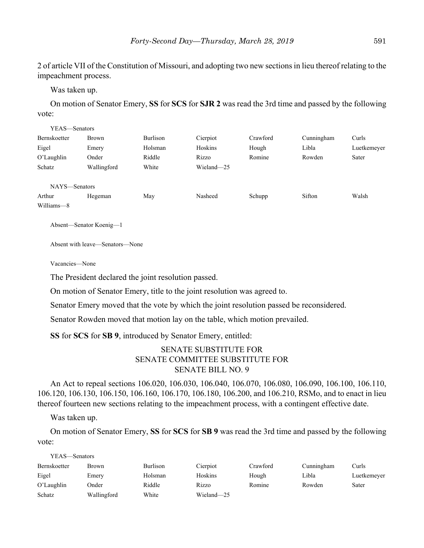2 of article VII of the Constitution of Missouri, and adopting two new sections in lieu thereof relating to the impeachment process.

Was taken up.

On motion of Senator Emery, **SS** for **SCS** for **SJR 2** was read the 3rd time and passed by the following vote:

| YEAS—Senators |              |          |            |          |            |             |
|---------------|--------------|----------|------------|----------|------------|-------------|
| Bernskoetter  | <b>Brown</b> | Burlison | Cierpiot   | Crawford | Cunningham | Curls       |
| Eigel         | Emery        | Holsman  | Hoskins    | Hough    | Libla      | Luetkemeyer |
| O'Laughlin    | Onder        | Riddle   | Rizzo      | Romine   | Rowden     | Sater       |
| Schatz        | Wallingford  | White    | Wieland-25 |          |            |             |
| NAYS-Senators |              |          |            |          |            |             |
| Arthur        | Hegeman      | May      | Nasheed    | Schupp   | Sifton     | Walsh       |
| Williams-8    |              |          |            |          |            |             |

Absent—Senator Koenig—1

Absent with leave—Senators—None

Vacancies—None

The President declared the joint resolution passed.

On motion of Senator Emery, title to the joint resolution was agreed to.

Senator Emery moved that the vote by which the joint resolution passed be reconsidered.

Senator Rowden moved that motion lay on the table, which motion prevailed.

**SS** for **SCS** for **SB 9**, introduced by Senator Emery, entitled:

# SENATE SUBSTITUTE FOR SENATE COMMITTEE SUBSTITUTE FOR SENATE BILL NO. 9

An Act to repeal sections 106.020, 106.030, 106.040, 106.070, 106.080, 106.090, 106.100, 106.110, 106.120, 106.130, 106.150, 106.160, 106.170, 106.180, 106.200, and 106.210, RSMo, and to enact in lieu thereof fourteen new sections relating to the impeachment process, with a contingent effective date.

Was taken up.

On motion of Senator Emery, **SS** for **SCS** for **SB 9** was read the 3rd time and passed by the following vote:

YEAS—Senators

| Bernskoetter | Brown       | Burlison | Cierpiot   | Crawford | Cunningham | Curls       |
|--------------|-------------|----------|------------|----------|------------|-------------|
| Eigel        | Emery       | Holsman  | Hoskins    | Hough    | Libla      | Luetkemeyer |
| O'Laughlin   | Onder       | Riddle   | Rizzo      | Romine   | Rowden     | Sater       |
| Schatz       | Wallingford | White    | Wieland-25 |          |            |             |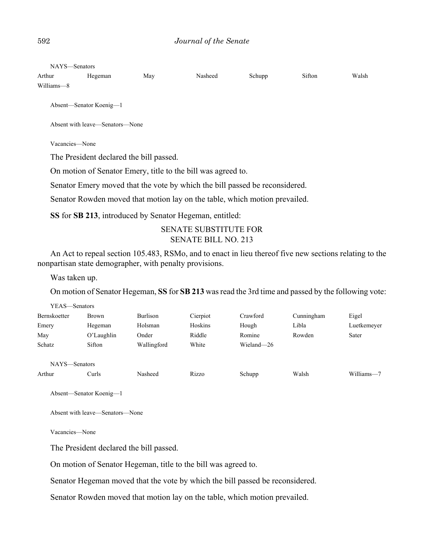NAYS—Senators

| Arthur     | Hegeman | May | Nasheed | Schupp | Sifton | Walsh |
|------------|---------|-----|---------|--------|--------|-------|
| Williams-8 |         |     |         |        |        |       |

Absent—Senator Koenig—1

Absent with leave—Senators—None

Vacancies—None

The President declared the bill passed.

On motion of Senator Emery, title to the bill was agreed to.

Senator Emery moved that the vote by which the bill passed be reconsidered.

Senator Rowden moved that motion lay on the table, which motion prevailed.

**SS** for **SB 213**, introduced by Senator Hegeman, entitled:

## SENATE SUBSTITUTE FOR SENATE BILL NO. 213

An Act to repeal section 105.483, RSMo, and to enact in lieu thereof five new sections relating to the nonpartisan state demographer, with penalty provisions.

Was taken up.

 $YFAG-G$ 

On motion of Senator Hegeman, **SS** for **SB 213** was read the 3rd time and passed by the following vote:

| r EAS—Senators      |            |             |          |            |            |             |
|---------------------|------------|-------------|----------|------------|------------|-------------|
| <b>Bernskoetter</b> | Brown      | Burlison    | Cierpiot | Crawford   | Cunningham | Eigel       |
| Emery               | Hegeman    | Holsman     | Hoskins  | Hough      | Libla      | Luetkemeyer |
| May                 | O'Laughlin | Onder       | Riddle   | Romine     | Rowden     | Sater       |
| Schatz              | Sifton     | Wallingford | White    | Wieland-26 |            |             |
|                     |            |             |          |            |            |             |
| NAYS—Senators       |            |             |          |            |            |             |
| Arthur              | Curls      | Nasheed     | Rizzo    | Schupp     | Walsh      | Williams-7  |
|                     |            |             |          |            |            |             |

Absent—Senator Koenig—1

Absent with leave—Senators—None

Vacancies—None

The President declared the bill passed.

On motion of Senator Hegeman, title to the bill was agreed to.

Senator Hegeman moved that the vote by which the bill passed be reconsidered.

Senator Rowden moved that motion lay on the table, which motion prevailed.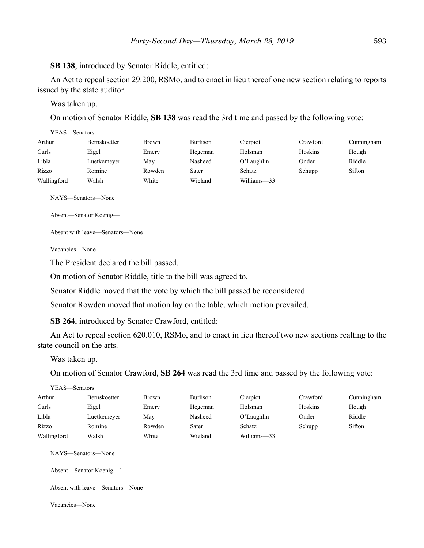**SB 138**, introduced by Senator Riddle, entitled:

An Act to repeal section 29.200, RSMo, and to enact in lieu thereof one new section relating to reports issued by the state auditor.

Was taken up.

On motion of Senator Riddle, **SB 138** was read the 3rd time and passed by the following vote:

| YEAS—Senators |                     |              |          |             |          |            |  |
|---------------|---------------------|--------------|----------|-------------|----------|------------|--|
| Arthur        | <b>Bernskoetter</b> | <b>Brown</b> | Burlison | Cierpiot    | Crawford | Cunningham |  |
| Curls         | Eigel               | Emery        | Hegeman  | Holsman     | Hoskins  | Hough      |  |
| Libla         | Luetkemeyer         | May          | Nasheed  | O'Laughlin  | Onder    | Riddle     |  |
| Rizzo         | Romine              | Rowden       | Sater    | Schatz      | Schupp   | Sifton     |  |
| Wallingford   | Walsh               | White        | Wieland  | Williams-33 |          |            |  |

NAYS—Senators—None

Absent—Senator Koenig—1

Absent with leave—Senators—None

Vacancies—None

The President declared the bill passed.

On motion of Senator Riddle, title to the bill was agreed to.

Senator Riddle moved that the vote by which the bill passed be reconsidered.

Senator Rowden moved that motion lay on the table, which motion prevailed.

**SB 264**, introduced by Senator Crawford, entitled:

An Act to repeal section 620.010, RSMo, and to enact in lieu thereof two new sections realting to the state council on the arts.

Was taken up.

On motion of Senator Crawford, **SB 264** was read the 3rd time and passed by the following vote:

| YEAS—Senators |              |        |          |             |          |            |
|---------------|--------------|--------|----------|-------------|----------|------------|
| Arthur        | Bernskoetter | Brown  | Burlison | Cierpiot    | Crawford | Cunningham |
| Curls         | Eigel        | Emery  | Hegeman  | Holsman     | Hoskins  | Hough      |
| Libla         | Luetkemeyer  | Mav    | Nasheed  | O'Laughlin  | Onder    | Riddle     |
| Rizzo         | Romine       | Rowden | Sater    | Schatz      | Schupp   | Sifton     |
| Wallingford   | Walsh        | White  | Wieland  | Williams-33 |          |            |

NAYS—Senators—None

Absent—Senator Koenig—1

Absent with leave—Senators—None

Vacancies—None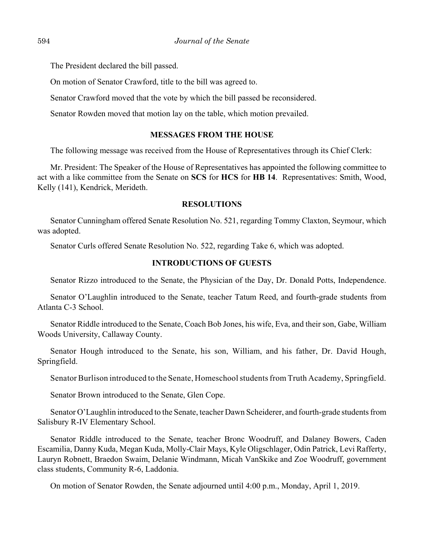The President declared the bill passed.

On motion of Senator Crawford, title to the bill was agreed to.

Senator Crawford moved that the vote by which the bill passed be reconsidered.

Senator Rowden moved that motion lay on the table, which motion prevailed.

## **MESSAGES FROM THE HOUSE**

The following message was received from the House of Representatives through its Chief Clerk:

Mr. President: The Speaker of the House of Representatives has appointed the following committee to act with a like committee from the Senate on **SCS** for **HCS** for **HB 14**. Representatives: Smith, Wood, Kelly (141), Kendrick, Merideth.

#### **RESOLUTIONS**

Senator Cunningham offered Senate Resolution No. 521, regarding Tommy Claxton, Seymour, which was adopted.

Senator Curls offered Senate Resolution No. 522, regarding Take 6, which was adopted.

## **INTRODUCTIONS OF GUESTS**

Senator Rizzo introduced to the Senate, the Physician of the Day, Dr. Donald Potts, Independence.

Senator O'Laughlin introduced to the Senate, teacher Tatum Reed, and fourth-grade students from Atlanta C-3 School.

Senator Riddle introduced to the Senate, Coach Bob Jones, his wife, Eva, and their son, Gabe, William Woods University, Callaway County.

Senator Hough introduced to the Senate, his son, William, and his father, Dr. David Hough, Springfield.

Senator Burlison introduced to the Senate, Homeschool students from Truth Academy, Springfield.

Senator Brown introduced to the Senate, Glen Cope.

Senator O'Laughlin introduced to the Senate, teacher Dawn Scheiderer, and fourth-grade students from Salisbury R-IV Elementary School.

Senator Riddle introduced to the Senate, teacher Bronc Woodruff, and Dalaney Bowers, Caden Escamilia, Danny Kuda, Megan Kuda, Molly-Clair Mays, Kyle Oligschlager, Odin Patrick, Levi Rafferty, Lauryn Robnett, Braedon Swaim, Delanie Windmann, Micah VanSkike and Zoe Woodruff, government class students, Community R-6, Laddonia.

On motion of Senator Rowden, the Senate adjourned until 4:00 p.m., Monday, April 1, 2019.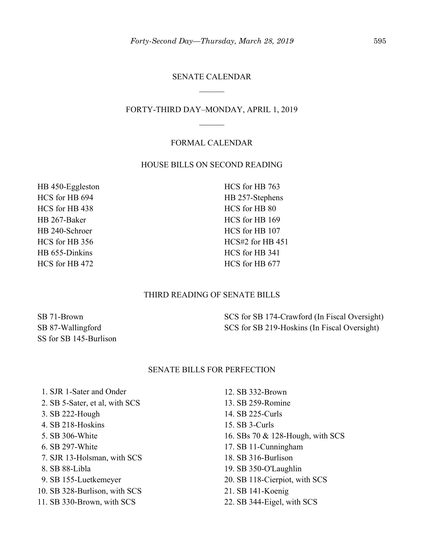# SENATE CALENDAR  $\mathcal{L}$

## FORTY-THIRD DAY–MONDAY, APRIL 1, 2019

#### FORMAL CALENDAR

# HOUSE BILLS ON SECOND READING

HB 450-Eggleston HCS for HB 694 HCS for HB 438 HB 267-Baker HB 240-Schroer HCS for HB 356 HB 655-Dinkins HCS for HB 472

HCS for HB 763 HB 257-Stephens HCS for HB 80 HCS for HB 169 HCS for HB 107 HCS#2 for HB 451 HCS for HB 341 HCS for HB 677

#### THIRD READING OF SENATE BILLS

SB 71-Brown SB 87-Wallingford SS for SB 145-Burlison SCS for SB 174-Crawford (In Fiscal Oversight) SCS for SB 219-Hoskins (In Fiscal Oversight)

## SENATE BILLS FOR PERFECTION

 1. SJR 1-Sater and Onder 2. SB 5-Sater, et al, with SCS 3. SB 222-Hough 4. SB 218-Hoskins 5. SB 306-White 6. SB 297-White 7. SJR 13-Holsman, with SCS 8. SB 88-Libla 9. SB 155-Luetkemeyer 10. SB 328-Burlison, with SCS 11. SB 330-Brown, with SCS

- 12. SB 332-Brown
- 13. SB 259-Romine
- 14. SB 225-Curls
- 15. SB 3-Curls
- 16. SBs 70 & 128-Hough, with SCS
- 17. SB 11-Cunningham
- 18. SB 316-Burlison
- 19. SB 350-O'Laughlin
- 20. SB 118-Cierpiot, with SCS
- 21. SB 141-Koenig
- 22. SB 344-Eigel, with SCS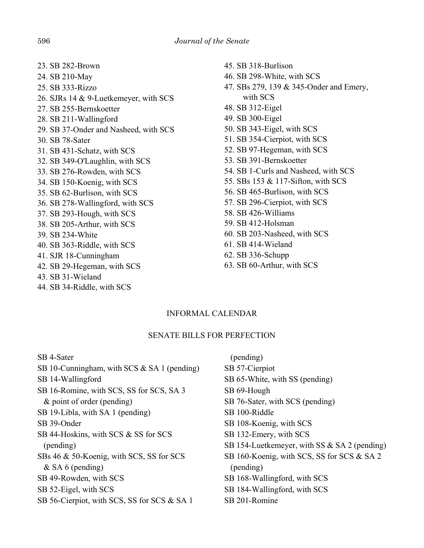23. SB 282-Brown 24. SB 210-May 25. SB 333-Rizzo 26. SJRs 14 & 9-Luetkemeyer, with SCS 27. SB 255-Bernskoetter 28. SB 211-Wallingford 29. SB 37-Onder and Nasheed, with SCS 30. SB 78-Sater 31. SB 431-Schatz, with SCS 32. SB 349-O'Laughlin, with SCS 33. SB 276-Rowden, with SCS 34. SB 150-Koenig, with SCS 35. SB 62-Burlison, with SCS 36. SB 278-Wallingford, with SCS 37. SB 293-Hough, with SCS 38. SB 205-Arthur, with SCS 39. SB 234-White 40. SB 363-Riddle, with SCS 41. SJR 18-Cunningham 42. SB 29-Hegeman, with SCS 43. SB 31-Wieland 44. SB 34-Riddle, with SCS

45. SB 318-Burlison 46. SB 298-White, with SCS 47. SBs 279, 139 & 345-Onder and Emery, with SCS 48. SB 312-Eigel 49. SB 300-Eigel 50. SB 343-Eigel, with SCS 51. SB 354-Cierpiot, with SCS 52. SB 97-Hegeman, with SCS 53. SB 391-Bernskoetter 54. SB 1-Curls and Nasheed, with SCS 55. SBs 153 & 117-Sifton, with SCS 56. SB 465-Burlison, with SCS 57. SB 296-Cierpiot, with SCS 58. SB 426-Williams 59. SB 412-Holsman 60. SB 203-Nasheed, with SCS 61. SB 414-Wieland 62. SB 336-Schupp

63. SB 60-Arthur, with SCS

# INFORMAL CALENDAR

# SENATE BILLS FOR PERFECTION

SB 4-Sater SB 10-Cunningham, with SCS & SA 1 (pending) SB 14-Wallingford SB 16-Romine, with SCS, SS for SCS, SA 3 & point of order (pending) SB 19-Libla, with SA 1 (pending) SB 39-Onder SB 44-Hoskins, with SCS & SS for SCS (pending) SBs 46 & 50-Koenig, with SCS, SS for SCS & SA 6 (pending) SB 49-Rowden, with SCS SB 52-Eigel, with SCS SB 56-Cierpiot, with SCS, SS for SCS & SA 1

 (pending) SB 57-Cierpiot SB 65-White, with SS (pending) SB 69-Hough SB 76-Sater, with SCS (pending) SB 100-Riddle SB 108-Koenig, with SCS SB 132-Emery, with SCS SB 154-Luetkemeyer, with SS & SA 2 (pending) SB 160-Koenig, with SCS, SS for SCS & SA 2 (pending) SB 168-Wallingford, with SCS SB 184-Wallingford, with SCS SB 201-Romine